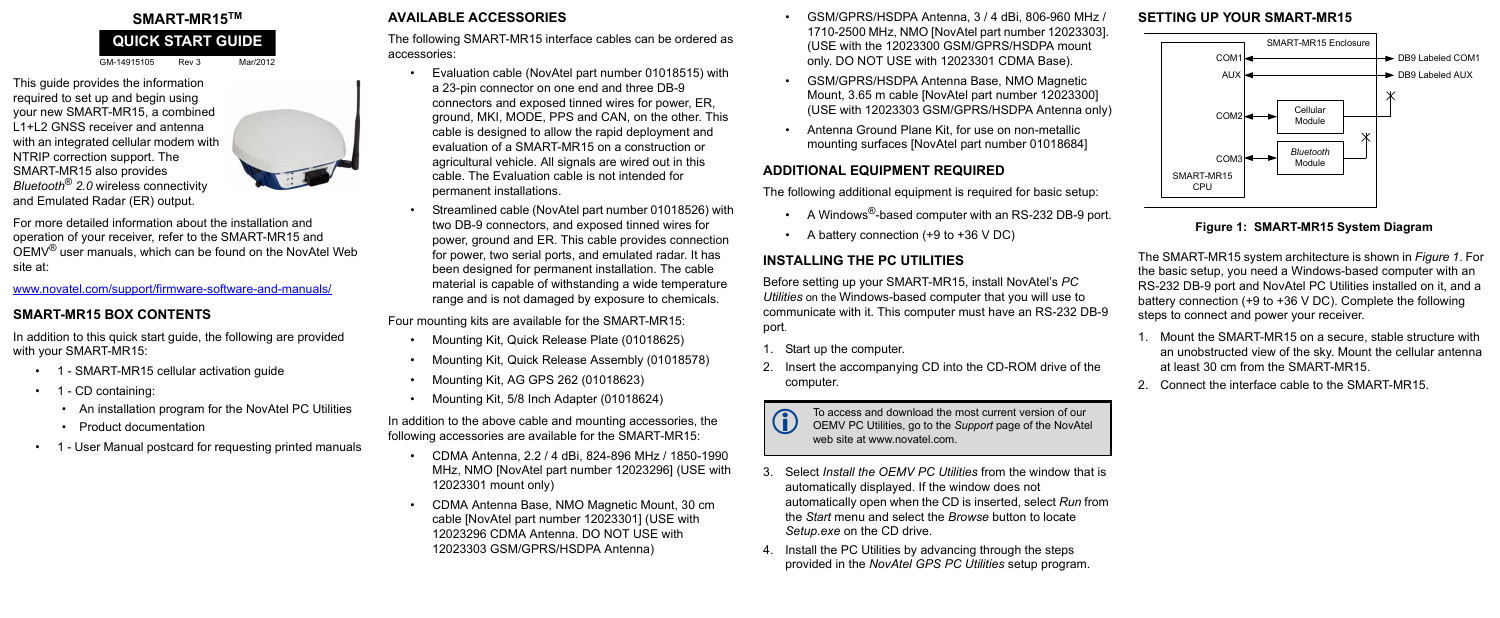GM-14915105 Rev 3 Mar/2012

This guide provides the information required to set up and begin using your new SMART-MR15, a combined L1+L2 GNSS receiver and antenna with an integrated cellular modem with NTRIP correction support. The SMART-MR15 also provides *Bluetooth*® *2.0* wireless connectivity and Emulated Radar (ER) output.



For more detailed information about the installation and operation of your receiver, refer to the SMART-MR15 and OEMV® user manuals, which can be found on the NovAtel Web site at:

www.novatel.com/support/firmware-software-and-manuals/

#### **SMART-MR15 BOX CONTENTS**

In addition to this quick start guide, the following are provided with your SMART-MR15:

- 1 SMART-MR15 cellular activation guide
- 1 CD containing:
	- An installation program for the NovAtel PC Utilities
	- Product documentation
- 1 User Manual postcard for requesting printed manuals

# **AVAILABLE ACCESSORIES**

The following SMART-MR15 interface cables can be ordered as accessories:

- Evaluation cable (NovAtel part number 01018515) with a 23-pin connector on one end and three DB-9 connectors and exposed tinned wires for power, ER, ground, MKI, MODE, PPS and CAN, on the other. This cable is designed to allow the rapid deployment and evaluation of a SMART-MR15 on a construction or agricultural vehicle. All signals are wired out in this cable. The Evaluation cable is not intended for permanent installations.
- Streamlined cable (NovAtel part number 01018526) with two DB-9 connectors, and exposed tinned wires for power, ground and ER. This cable provides connection for power, two serial ports, and emulated radar. It has been designed for permanent installation. The cable material is capable of withstanding a wide temperature range and is not damaged by exposure to chemicals.
- A Windows<sup>®</sup>-based computer with an RS-232 DB-9 port.
- A battery connection (+9 to +36 V DC)

Four mounting kits are available for the SMART-MR15:

- Mounting Kit, Quick Release Plate (01018625)
- Mounting Kit, Quick Release Assembly (01018578)
- Mounting Kit, AG GPS 262 (01018623)
- Mounting Kit, 5/8 Inch Adapter (01018624)

In addition to the above cable and mounting accessories, the following accessories are available for the SMART-MR15:

# **SMART-MR15TM QUICK START GUIDE**

To access and download the most current version of our<br>OEMV PC Utilities, go to the *Support* page of the NovAtel web site at www.novatel.com.

- CDMA Antenna, 2.2 / 4 dBi, 824-896 MHz / 1850-1990 MHz, NMO [NovAtel part number 12023296] (USE with 12023301 mount only)
- CDMA Antenna Base, NMO Magnetic Mount, 30 cm cable [NovAtel part number 12023301] (USE with 12023296 CDMA Antenna. DO NOT USE with 12023303 GSM/GPRS/HSDPA Antenna)
- GSM/GPRS/HSDPA Antenna, 3 / 4 dBi, 806-960 MHz / 1710-2500 MHz, NMO [NovAtel part number 12023303]. (USE with the 12023300 GSM/GPRS/HSDPA mount only. DO NOT USE with 12023301 CDMA Base).
- GSM/GPRS/HSDPA Antenna Base, NMO Magnetic Mount, 3.65 m cable [NovAtel part number 12023300] (USE with 12023303 GSM/GPRS/HSDPA Antenna only)
- Antenna Ground Plane Kit, for use on non-metallic mounting surfaces [NovAtel part number 01018684]

# **ADDITIONAL EQUIPMENT REQUIRED**

The following additional equipment is required for basic setup:

# **INSTALLING THE PC UTILITIES**

Before setting up your SMART-MR15, install NovAtel's *PC Utilities* on the Windows-based computer that you will use to communicate with it. This computer must have an RS-232 DB-9 port*.*

- 1. Start up the computer.
- 2. Insert the accompanying CD into the CD-ROM drive of the computer.



- 3. Select *Install the OEMV PC Utilities* from the window that is automatically displayed. If the window does not automatically open when the CD is inserted, select *Run* from the *Start* menu and select the *Browse* button to locate *Setup.exe* on the CD drive.
- 4. Install the PC Utilities by advancing through the steps provided in the *NovAtel GPS PC Utilities* setup program.

# **SETTING UP YOUR SMART-MR15**

#### **Figure 1: SMART-MR15 System Diagram**

<span id="page-0-0"></span>The SMART-MR15 system architecture is shown in *[Figure 1](#page-0-0)*. For the basic setup, you need a Windows-based computer with an RS-232 DB-9 port and NovAtel PC Utilities installed on it, and a battery connection (+9 to +36 V DC). Complete the following steps to connect and power your receiver.

- 1. Mount the SMART-MR15 on a secure, stable structure with an unobstructed view of the sky. Mount the cellular antenna at least 30 cm from the SMART-MR15.
- 2. Connect the interface cable to the SMART-MR15.



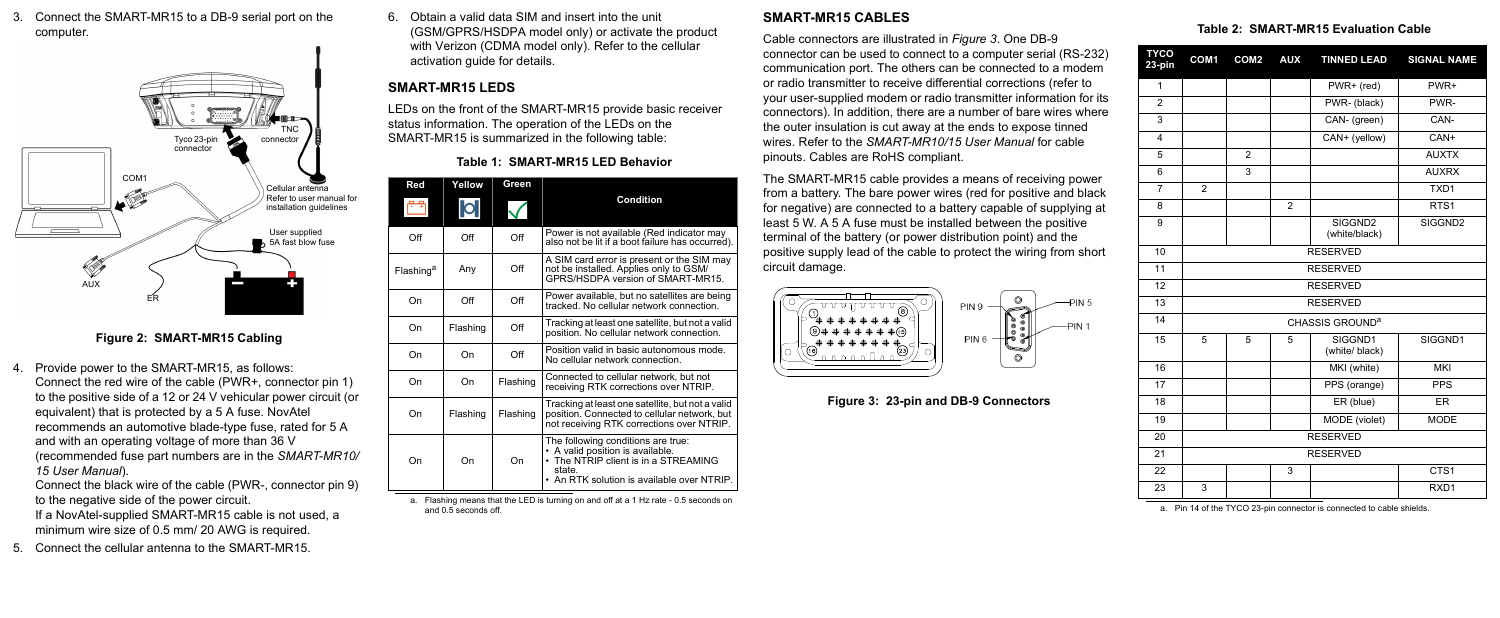3. Connect the SMART-MR15 to a DB-9 serial port on the computer.

#### **Figure 2: SMART-MR15 Cabling**

- 4. Provide power to the SMART-MR15, as follows: Connect the red wire of the cable (PWR+, connector pin 1) to the positive side of a 12 or 24 V vehicular power circuit (or equivalent) that is protected by a 5 A fuse. NovAtel recommends an automotive blade-type fuse, rated for 5 A and with an operating voltage of more than 36 V (recommended fuse part numbers are in the *SMART-MR10/ 15 User Manual*).
	- Connect the black wire of the cable (PWR-, connector pin 9) to the negative side of the power circuit.
	- If a NovAtel-supplied SMART-MR15 cable is not used, a minimum wire size of 0.5 mm/ 20 AWG is required.
- 5. Connect the cellular antenna to the SMART-MR15.

6. Obtain a valid data SIM and insert into the unit (GSM/GPRS/HSDPA model only) or activate the product with Verizon (CDMA model only). Refer to the cellular activation guide for details.

# **SMART-MR15 LEDS**

LEDs on the front of the SMART-MR15 provide basic receiver status information. The operation of the LEDs on the SMART-MR15 is summarized in the following table:

## **SMART-MR15 CABLES**

Cable connectors are illustrated in *Figure 3*. One DB-9 connector can be used to connect to a computer serial (RS-232) communication port. The others can be connected to a modem or radio transmitter to receive differential corrections (refer to your user-supplied modem or radio transmitter information for its connectors). In addition, there are a number of bare wires where the outer insulation is cut away at the ends to expose tinned wires. Refer to the *SMART-MR10/15 User Manual* for cable pinouts. Cables are RoHS compliant.

The SMART-MR15 cable provides a means of receiving power from a battery. The bare power wires (red for positive and black for negative) are connected to a battery capable of supplying at least 5 W. A 5 A fuse must be installed between the positive terminal of the battery (or power distribution point) and the positive supply lead of the cable to protect the wiring from short circuit damage.



 **Figure 3: 23-pin and DB-9 Connectors**



#### **Table 1: SMART-MR15 LED Behavior**

a. Flashing means that the LED is turning on and off at a 1 Hz rate - 0.5 seconds on and 0.5 seconds off.

| Red                   | Yellow   | Green         |                                                                                                                                                                        |
|-----------------------|----------|---------------|------------------------------------------------------------------------------------------------------------------------------------------------------------------------|
|                       | O        |               | <b>Condition</b>                                                                                                                                                       |
| Off                   | Off      | $\bigcirc$ ff | Power is not available (Red indicator may<br>also not be lit if a boot failure has occurred).                                                                          |
| Flashing <sup>a</sup> | Any      | $\bigcirc$ ff | A SIM card error is present or the SIM may<br>not be installed. Applies only to GSM/<br>GPRS/HSDPA version of SMART-MR15.                                              |
| On                    | Off      | $\Omega$ ff   | Power available, but no satellites are being<br>tracked. No cellular network connection.                                                                               |
| On                    | Flashing | Off           | Tracking at least one satellite, but not a valid<br>position. No cellular network connection.                                                                          |
| On                    | On       | Off           | Position valid in basic autonomous mode.<br>No cellular network connection.                                                                                            |
| On                    | On       | Flashing      | Connected to cellular network, but not<br>receiving RTK corrections over NTRIP.                                                                                        |
| On                    | Flashing | Flashing      | Tracking at least one satellite, but not a valid<br>position. Connected to cellular network, but<br>not receiving RTK corrections over NTRIP.                          |
| On                    | On       | On            | The following conditions are true:<br>• A valid position is available.<br>• The NTRIP client is in a STREAMING<br>state.<br>• An RTK solution is available over NTRIP. |

|  | Table 2: SMART-MR15 Evaluation Cable |  |  |
|--|--------------------------------------|--|--|
|--|--------------------------------------|--|--|

| 23-pin                  | COM1                        | COM <sub>2</sub> | <b>AUX</b>     | <b>TINNED LEAD</b>        | <b>SIGNAL NAME</b> |  |  |
|-------------------------|-----------------------------|------------------|----------------|---------------------------|--------------------|--|--|
| $\mathbf{1}$            |                             |                  |                | PWR+ (red)                | PWR+               |  |  |
| $\overline{2}$          |                             |                  |                | PWR- (black)              | PWR-               |  |  |
| 3                       |                             |                  |                | CAN- (green)              | CAN-               |  |  |
| $\overline{\mathbf{4}}$ |                             |                  |                | CAN+ (yellow)             | CAN+               |  |  |
| 5                       |                             | $\overline{2}$   |                |                           | <b>AUXTX</b>       |  |  |
| 6                       |                             | 3                |                |                           | <b>AUXRX</b>       |  |  |
| $\overline{7}$          | $\overline{2}$              |                  |                |                           | TXD1               |  |  |
| 8                       |                             |                  | $\overline{2}$ |                           | RTS <sub>1</sub>   |  |  |
| 9                       |                             |                  |                | SIGGND2<br>(white/black)  | SIGGND2            |  |  |
| 10                      | <b>RESERVED</b>             |                  |                |                           |                    |  |  |
| 11                      | <b>RESERVED</b>             |                  |                |                           |                    |  |  |
| 12                      | <b>RESERVED</b>             |                  |                |                           |                    |  |  |
| 13                      | <b>RESERVED</b>             |                  |                |                           |                    |  |  |
| 14                      | CHASSIS GROUND <sup>a</sup> |                  |                |                           |                    |  |  |
| 15                      | 5                           | 5                | 5              | SIGGND1<br>(white/ black) | SIGGND1            |  |  |
| 16                      |                             |                  |                | MKI (white)               | <b>MKI</b>         |  |  |
| 17                      |                             |                  |                | PPS (orange)              | <b>PPS</b>         |  |  |
| 18                      |                             |                  |                | ER (blue)                 | <b>ER</b>          |  |  |
| 19                      |                             |                  |                | MODE (violet)             | <b>MODE</b>        |  |  |
| 20                      | <b>RESERVED</b>             |                  |                |                           |                    |  |  |
| 21                      | <b>RESERVED</b>             |                  |                |                           |                    |  |  |
| 22                      |                             |                  | 3              |                           | CTS1               |  |  |
| 23                      | 3                           |                  |                |                           | RXD1               |  |  |
|                         |                             |                  |                |                           |                    |  |  |

a. Pin 14 of the TYCO 23-pin connector is connected to cable shields.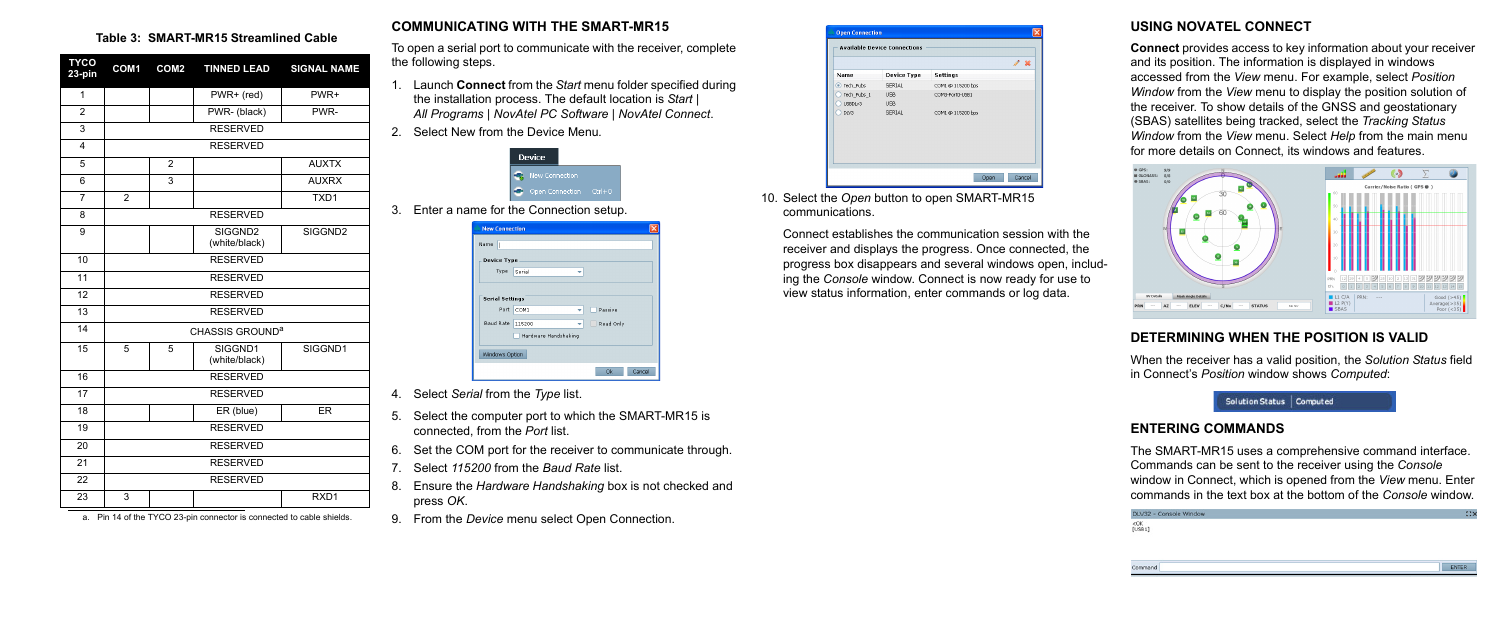#### **COMMUNICATING WITH THE SMART-MR15**

To open a serial port to communicate with the receiver, complete the following steps.

- 1. Launch **Connect** from the *Start* menu folder specified during the installation process. The default location is *Start | All Programs | NovAtel PC Software | NovAtel Connect*.
- 2. Select New from the Device Menu*.*

| Device                |              |
|-----------------------|--------------|
| <b>New Connection</b> |              |
| Open Connection       | $C$ trl $+C$ |

3. Enter a name for the Connection setup.

- 4. Select *Serial* from the *Type* list.
- 5. Select the computer port to which the SMART-MR15 is connected, from the *Port* list.
- 6. Set the COM port for the receiver to communicate through.
- 7. Select *115200* from the *Baud Rate* list.
- 8. Ensure the *Hardware Handshaking* box is not checked and press *OK*.
- 9. From the *Device* menu select Open Connection.



10. Select the *Open* button to open SMART-MR15 communications.

Connect establishes the communication session with the receiver and displays the progress. Once connected, the progress box disappears and several windows open, including the *Console* window. Connect is now ready for use to view status information, enter commands or log data.

### **USING NOVATEL CONNECT**

**Connect** provides access to key information about your receiver and its position. The information is displayed in windows accessed from the *View* menu. For example, select *Position Window* from the *View* menu to display the position solution of the receiver. To show details of the GNSS and geostationary (SBAS) satellites being tracked, select the *Tracking Status Window* from the *View* menu. Select *Help* from the main menu for more details on Connect, its windows and features.



### **DETERMINING WHEN THE POSITION IS VALID**

When the receiver has a valid position, the *Solution Status* field in Connect's *Position* window shows *Computed*:



#### **ENTERING COMMANDS**

The SMART-MR15 uses a comprehensive command interface. Commands can be sent to the receiver using the *Console* window in Connect, which is opened from the *View* menu. Enter commands in the text box at the bottom of the *Console* window.



#### **Table 3: SMART-MR15 Streamlined Cable**

| <b>TYCO</b><br>23-pin   | COM <sub>1</sub>            | COM <sub>2</sub> | <b>TINNED LEAD</b>                   | <b>SIGNAL NAME</b>  |  |  |  |
|-------------------------|-----------------------------|------------------|--------------------------------------|---------------------|--|--|--|
| 1                       |                             |                  | PWR+ (red)                           | PWR+                |  |  |  |
| $\overline{2}$          |                             |                  | PWR-(black)                          | PWR-                |  |  |  |
| 3                       |                             |                  | <b>RESERVED</b>                      |                     |  |  |  |
| $\overline{\mathbf{4}}$ |                             |                  | <b>RESERVED</b>                      |                     |  |  |  |
| 5                       |                             | $\overline{2}$   |                                      | <b>AUXTX</b>        |  |  |  |
| 6                       |                             | 3                |                                      | <b>AUXRX</b>        |  |  |  |
| $\overline{7}$          | $\overline{2}$              |                  |                                      | TXD1                |  |  |  |
| 8                       |                             |                  | <b>RESERVED</b>                      |                     |  |  |  |
| 9                       |                             |                  | SIGGND <sub>2</sub><br>(white/black) | SIGGND <sub>2</sub> |  |  |  |
| 10                      | <b>RESERVED</b>             |                  |                                      |                     |  |  |  |
| 11                      | <b>RESERVED</b>             |                  |                                      |                     |  |  |  |
| 12                      | <b>RESERVED</b>             |                  |                                      |                     |  |  |  |
| 13                      | <b>RESERVED</b>             |                  |                                      |                     |  |  |  |
| 14                      | CHASSIS GROUND <sup>a</sup> |                  |                                      |                     |  |  |  |
| 15                      | 5                           | 5                | SIGGND1<br>(white/black)             | SIGGND1             |  |  |  |
| 16                      | <b>RESERVED</b>             |                  |                                      |                     |  |  |  |
| 17                      | <b>RESERVED</b>             |                  |                                      |                     |  |  |  |
| 18                      |                             |                  | ER (blue)                            | <b>ER</b>           |  |  |  |
| 19                      | <b>RESERVED</b>             |                  |                                      |                     |  |  |  |
| 20                      | <b>RESERVED</b>             |                  |                                      |                     |  |  |  |
| 21                      | <b>RESERVED</b>             |                  |                                      |                     |  |  |  |
| 22                      | <b>RESERVED</b>             |                  |                                      |                     |  |  |  |
| 23                      | 3                           |                  |                                      | RXD1                |  |  |  |

a. Pin 14 of the TYCO 23-pin connector is connected to cable shields.

| Name<br>II             |                      |
|------------------------|----------------------|
| <b>Device Type</b>     |                      |
| Type                   | Serial<br>÷          |
|                        |                      |
| <b>Serial Settings</b> |                      |
| Port                   | Passive<br>COM1<br>- |
| Baud Rate              | Read Only<br>115200  |
|                        | Hardware Handshaking |
| Windows Option         |                      |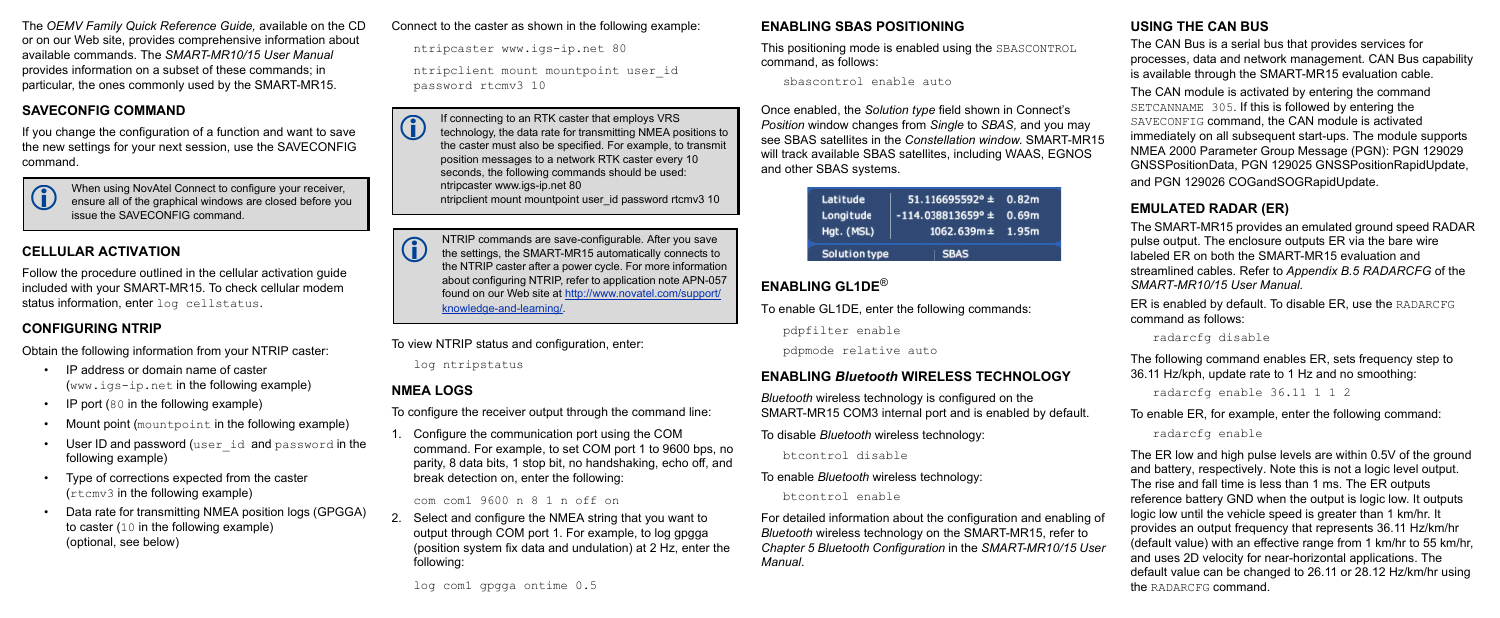The *OEMV Family Quick Reference Guide,* available on the CD or on our Web site, provides comprehensive information about available commands. The *SMART-MR10/15 User Manual* provides information on a subset of these commands; in particular, the ones commonly used by the SMART-MR15.

Follow the procedure outlined in the cellular activation guide included with your SMART-MR15. To check cellular modem status information, enter log cellstatus.

## **SAVECONFIG COMMAND**

If you change the configuration of a function and want to save the new settings for your next session, use the SAVECONFIG command.

# **CELLULAR ACTIVATION**

# **CONFIGURING NTRIP**

Obtain the following information from your NTRIP caster:

- IP address or domain name of caster (www.igs-ip.net in the following example)
- IP port (80 in the following example)
- Mount point (mountpoint in the following example)
- User ID and password (user id and password in the following example)
- Type of corrections expected from the caster (rtcmv3 in the following example)
- Data rate for transmitting NMEA position logs (GPGGA) to caster (10 in the following example) (optional, see below)

#### Connect to the caster as shown in the following example:

ntripcaster www.igs-ip.net 80

ntripclient mount mountpoint user\_id password rtcmv3 10

To view NTRIP status and configuration, enter:

log ntripstatus

# **NMEA LOGS**

To configure the receiver output through the command line:

1. Configure the communication port using the COM command. For example, to set COM port 1 to 9600 bps, no parity, 8 data bits, 1 stop bit, no handshaking, echo off, and break detection on, enter the following:

#### com com1 9600 n 8 1 n off on

2. Select and configure the NMEA string that you want to output through COM port 1. For example, to log gpgga (position system fix data and undulation) at 2 Hz, enter the following:

#### **ENABLING SBAS POSITIONING**

This positioning mode is enabled using the SBASCONTROL command, as follows:

sbascontrol enable auto

Once enabled, the *Solution type* field shown in Connect's *Position* window changes from *Single* to *SBAS,* and you may see SBAS satellites in the *Constellation window*. SMART-MR15 will track available SBAS satellites, including WAAS, EGNOS and other SBAS systems.

| Latitude<br>Longitude<br>Hgt. (MSL) | $51.116695592° \pm 0.82m$<br>$-114.038813659^{\circ} \pm 0.69m$<br>$1062.639m \pm 1.95m$ |  |
|-------------------------------------|------------------------------------------------------------------------------------------|--|
| Solution type                       | <b>SBAS</b>                                                                              |  |

# **ENABLING GL1DE**®

To enable GL1DE, enter the following commands:

pdpfilter enable

 If connecting to an RTK caster that employs VRS technology, the data rate for transmitting NMEA positions to the caster must also be specified. For example, to transmit position messages to a network RTK caster every 10 seconds, the following commands should be used: ntripcaster www.igs-ip.net 80 ntripclient mount mountpoint user id password rtcmv3 10

pdpmode relative auto

# **ENABLING** *Bluetooth* **WIRELESS TECHNOLOGY**

*Bluetooth* wireless technology is configured on the SMART-MR15 COM3 internal port and is enabled by default.

To disable *Bluetooth* wireless technology:

btcontrol disable

To enable *Bluetooth* wireless technology:

btcontrol enable

NTRIP commands are save-configurable. After you save<br>the settings, the SMART-MR15 automatically connects to the NTRIP caster after a power cycle. For more information about configuring NTRIP, refer to application note APN-057 found on our Web site at [http://www.novatel.com/support/](http://www.novatel.com/support/knowledge-and-learning/) [knowledge-and-learning/](http://www.novatel.com/support/knowledge-and-learning/).

> For detailed information about the configuration and enabling of *Bluetooth* wireless technology on the SMART-MR15, refer to *Chapter 5 Bluetooth Configuration* in the *SMART-MR10/15 User Manual*.

## **USING THE CAN BUS**

The CAN Bus is a serial bus that provides services for processes, data and network management. CAN Bus capability is available through the SMART-MR15 evaluation cable*.*

The CAN module is activated by entering the command SETCANNAME 305. If this is followed by entering the SAVECONFIG command, the CAN module is activated immediately on all subsequent start-ups. The module supports NMEA 2000 Parameter Group Message (PGN): PGN 129029 GNSSPositionData, PGN 129025 GNSSPositionRapidUpdate, and PGN 129026 COGandSOGRapidUpdate.

#### **EMULATED RADAR (ER)**

The SMART-MR15 provides an emulated ground speed RADAR pulse output. The enclosure outputs ER via the bare wire labeled ER on both the SMART-MR15 evaluation and streamlined cables. Refer to *Appendix B.5 RADARCFG* of the *SMART-MR10/15 User Manual.*

ER is enabled by default. To disable ER, use the RADARCFG command as follows:

radarcfg disable

The following command enables ER, sets frequency step to 36.11 Hz/kph, update rate to 1 Hz and no smoothing:

radarcfg enable 36.11 1 1 2

To enable ER, for example, enter the following command:

radarcfg enable

The ER low and high pulse levels are within 0.5V of the ground and battery, respectively. Note this is not a logic level output. The rise and fall time is less than 1 ms. The ER outputs reference battery GND when the output is logic low. It outputs logic low until the vehicle speed is greater than 1 km/hr. It provides an output frequency that represents 36.11 Hz/km/hr (default value) with an effective range from 1 km/hr to 55 km/hr, and uses 2D velocity for near-horizontal applications. The default value can be changed to 26.11 or 28.12 Hz/km/hr using the RADARCFG command.

 When using NovAtel Connect to configure your receiver, ensure all of the graphical windows are closed before you issue the SAVECONFIG command.